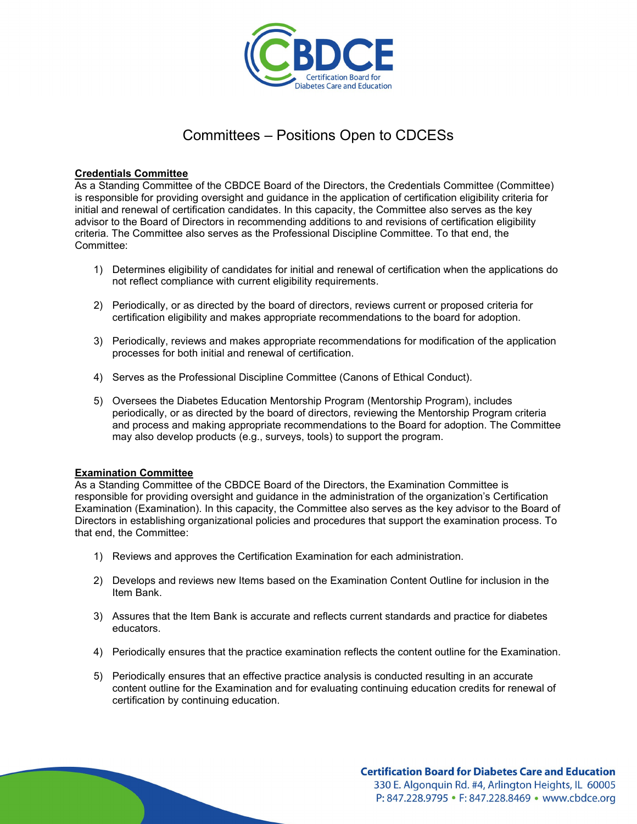

# Committees – Positions Open to CDCESs

### **Credentials Committee**

As a Standing Committee of the CBDCE Board of the Directors, the Credentials Committee (Committee) is responsible for providing oversight and guidance in the application of certification eligibility criteria for initial and renewal of certification candidates. In this capacity, the Committee also serves as the key advisor to the Board of Directors in recommending additions to and revisions of certification eligibility criteria. The Committee also serves as the Professional Discipline Committee. To that end, the Committee:

- 1) Determines eligibility of candidates for initial and renewal of certification when the applications do not reflect compliance with current eligibility requirements.
- 2) Periodically, or as directed by the board of directors, reviews current or proposed criteria for certification eligibility and makes appropriate recommendations to the board for adoption.
- 3) Periodically, reviews and makes appropriate recommendations for modification of the application processes for both initial and renewal of certification.
- 4) Serves as the Professional Discipline Committee (Canons of Ethical Conduct).
- 5) Oversees the Diabetes Education Mentorship Program (Mentorship Program), includes periodically, or as directed by the board of directors, reviewing the Mentorship Program criteria and process and making appropriate recommendations to the Board for adoption. The Committee may also develop products (e.g., surveys, tools) to support the program.

#### **Examination Committee**

As a Standing Committee of the CBDCE Board of the Directors, the Examination Committee is responsible for providing oversight and guidance in the administration of the organization's Certification Examination (Examination). In this capacity, the Committee also serves as the key advisor to the Board of Directors in establishing organizational policies and procedures that support the examination process. To that end, the Committee:

- 1) Reviews and approves the Certification Examination for each administration.
- 2) Develops and reviews new Items based on the Examination Content Outline for inclusion in the Item Bank.
- 3) Assures that the Item Bank is accurate and reflects current standards and practice for diabetes educators.
- 4) Periodically ensures that the practice examination reflects the content outline for the Examination.
- 5) Periodically ensures that an effective practice analysis is conducted resulting in an accurate content outline for the Examination and for evaluating continuing education credits for renewal of certification by continuing education.